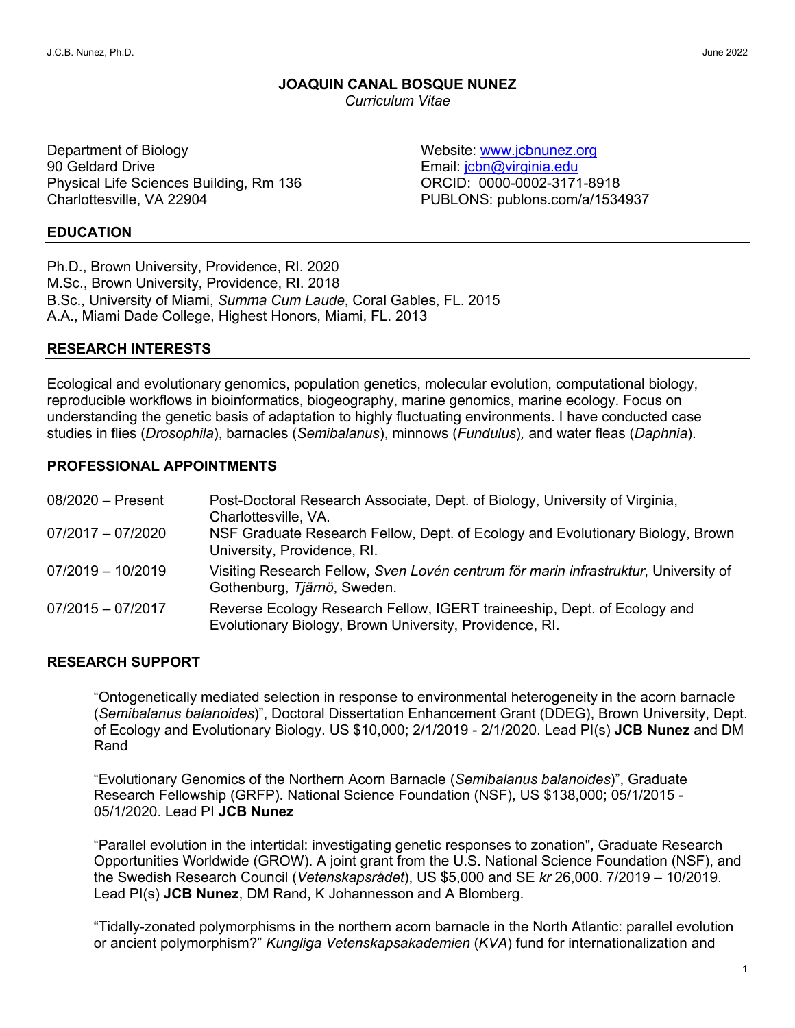# **JOAQUIN CANAL BOSQUE NUNEZ**

*Curriculum Vitae*

Department of Biology 90 Geldard Drive Physical Life Sciences Building, Rm 136 Charlottesville, VA 22904

Website: www.jcbnunez.org Email: jcbn@virginia.edu ORCID: 0000-0002-3171-8918 PUBLONS: publons.com/a/1534937

#### **EDUCATION**

Ph.D., Brown University, Providence, RI. 2020 M.Sc., Brown University, Providence, RI. 2018 B.Sc., University of Miami, *Summa Cum Laude*, Coral Gables, FL. 2015 A.A., Miami Dade College, Highest Honors, Miami, FL. 2013

# **RESEARCH INTERESTS**

Ecological and evolutionary genomics, population genetics, molecular evolution, computational biology, reproducible workflows in bioinformatics, biogeography, marine genomics, marine ecology. Focus on understanding the genetic basis of adaptation to highly fluctuating environments. I have conducted case studies in flies (*Drosophila*), barnacles (*Semibalanus*), minnows (*Fundulus*)*,* and water fleas (*Daphnia*).

# **PROFESSIONAL APPOINTMENTS**

| $08/2020$ - Present | Post-Doctoral Research Associate, Dept. of Biology, University of Virginia,<br>Charlottesville, VA.                                 |
|---------------------|-------------------------------------------------------------------------------------------------------------------------------------|
| $07/2017 - 07/2020$ | NSF Graduate Research Fellow, Dept. of Ecology and Evolutionary Biology, Brown<br>University, Providence, RI.                       |
| $07/2019 - 10/2019$ | Visiting Research Fellow, Sven Lovén centrum för marin infrastruktur, University of<br>Gothenburg, Tjärnö, Sweden.                  |
| $07/2015 - 07/2017$ | Reverse Ecology Research Fellow, IGERT traineeship, Dept. of Ecology and<br>Evolutionary Biology, Brown University, Providence, RI. |

#### **RESEARCH SUPPORT**

"Ontogenetically mediated selection in response to environmental heterogeneity in the acorn barnacle (*Semibalanus balanoides*)", Doctoral Dissertation Enhancement Grant (DDEG), Brown University, Dept. of Ecology and Evolutionary Biology. US \$10,000; 2/1/2019 - 2/1/2020. Lead PI(s) **JCB Nunez** and DM Rand

"Evolutionary Genomics of the Northern Acorn Barnacle (*Semibalanus balanoides*)", Graduate Research Fellowship (GRFP). National Science Foundation (NSF), US \$138,000; 05/1/2015 - 05/1/2020. Lead PI **JCB Nunez**

"Parallel evolution in the intertidal: investigating genetic responses to zonation", Graduate Research Opportunities Worldwide (GROW). A joint grant from the U.S. National Science Foundation (NSF), and the Swedish Research Council (*Vetenskapsrådet*), US \$5,000 and SE *kr* 26,000. 7/2019 – 10/2019. Lead PI(s) **JCB Nunez**, DM Rand, K Johannesson and A Blomberg.

"Tidally-zonated polymorphisms in the northern acorn barnacle in the North Atlantic: parallel evolution or ancient polymorphism?" *Kungliga Vetenskapsakademien* (*KVA*) fund for internationalization and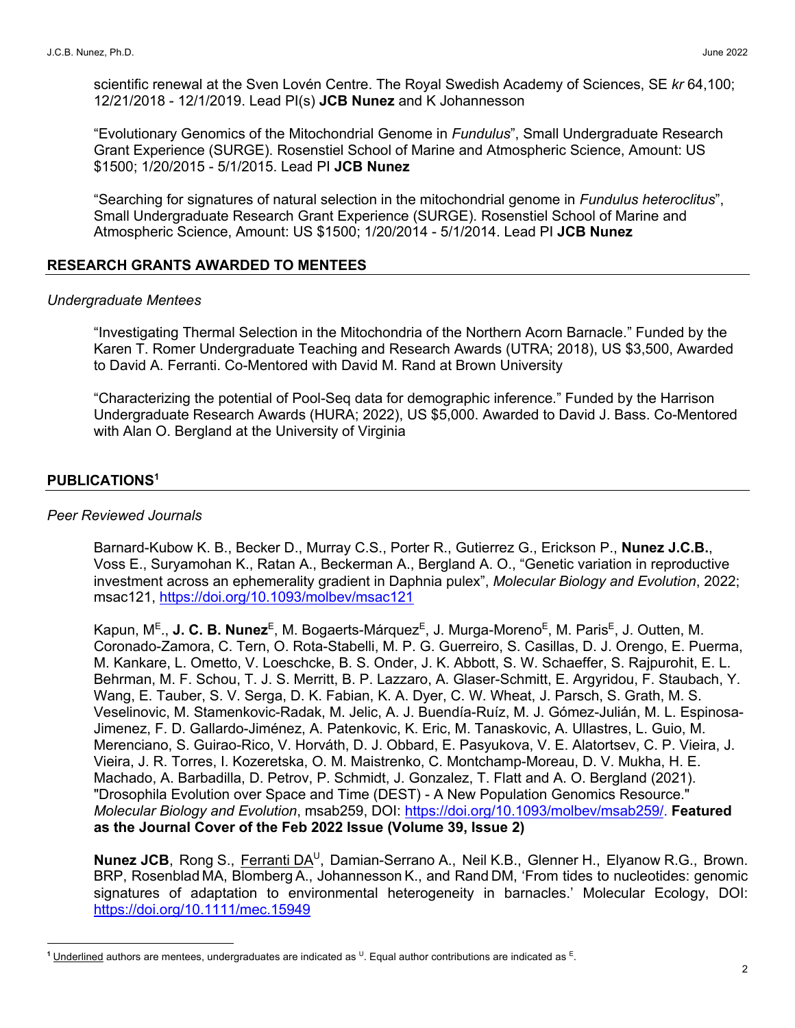scientific renewal at the Sven Lovén Centre. The Royal Swedish Academy of Sciences, SE *kr* 64,100; 12/21/2018 - 12/1/2019. Lead PI(s) **JCB Nunez** and K Johannesson

"Evolutionary Genomics of the Mitochondrial Genome in *Fundulus*", Small Undergraduate Research Grant Experience (SURGE). Rosenstiel School of Marine and Atmospheric Science, Amount: US \$1500; 1/20/2015 - 5/1/2015. Lead PI **JCB Nunez**

"Searching for signatures of natural selection in the mitochondrial genome in *Fundulus heteroclitus*", Small Undergraduate Research Grant Experience (SURGE). Rosenstiel School of Marine and Atmospheric Science, Amount: US \$1500; 1/20/2014 - 5/1/2014. Lead PI **JCB Nunez**

## **RESEARCH GRANTS AWARDED TO MENTEES**

#### *Undergraduate Mentees*

"Investigating Thermal Selection in the Mitochondria of the Northern Acorn Barnacle." Funded by the Karen T. Romer Undergraduate Teaching and Research Awards (UTRA; 2018), US \$3,500, Awarded to David A. Ferranti. Co-Mentored with David M. Rand at Brown University

"Characterizing the potential of Pool-Seq data for demographic inference." Funded by the Harrison Undergraduate Research Awards (HURA; 2022), US \$5,000. Awarded to David J. Bass. Co-Mentored with Alan O. Bergland at the University of Virginia

## **PUBLICATIONS<sup>1</sup>**

#### *Peer Reviewed Journals*

Barnard-Kubow K. B., Becker D., Murray C.S., Porter R., Gutierrez G., Erickson P., **Nunez J.C.B.**, Voss E., Suryamohan K., Ratan A., Beckerman A., Bergland A. O., "Genetic variation in reproductive investment across an ephemerality gradient in Daphnia pulex", *Molecular Biology and Evolution*, 2022; msac121, https://doi.org/10.1093/molbev/msac121

Kapun, M<sup>E</sup>., **J. C. B. Nunez<sup>E</sup>, M. Bogaerts-Márquez<sup>E</sup>, J. Murga-Moreno<sup>E</sup>, M. Paris<sup>E</sup>, J. Outten, M.** Coronado-Zamora, C. Tern, O. Rota-Stabelli, M. P. G. Guerreiro, S. Casillas, D. J. Orengo, E. Puerma, M. Kankare, L. Ometto, V. Loeschcke, B. S. Onder, J. K. Abbott, S. W. Schaeffer, S. Rajpurohit, E. L. Behrman, M. F. Schou, T. J. S. Merritt, B. P. Lazzaro, A. Glaser-Schmitt, E. Argyridou, F. Staubach, Y. Wang, E. Tauber, S. V. Serga, D. K. Fabian, K. A. Dyer, C. W. Wheat, J. Parsch, S. Grath, M. S. Veselinovic, M. Stamenkovic-Radak, M. Jelic, A. J. Buendía-Ruíz, M. J. Gómez-Julián, M. L. Espinosa-Jimenez, F. D. Gallardo-Jiménez, A. Patenkovic, K. Eric, M. Tanaskovic, A. Ullastres, L. Guio, M. Merenciano, S. Guirao-Rico, V. Horváth, D. J. Obbard, E. Pasyukova, V. E. Alatortsev, C. P. Vieira, J. Vieira, J. R. Torres, I. Kozeretska, O. M. Maistrenko, C. Montchamp-Moreau, D. V. Mukha, H. E. Machado, A. Barbadilla, D. Petrov, P. Schmidt, J. Gonzalez, T. Flatt and A. O. Bergland (2021). "Drosophila Evolution over Space and Time (DEST) - A New Population Genomics Resource." *Molecular Biology and Evolution*, msab259, DOI: https://doi.org/10.1093/molbev/msab259/. **Featured as the Journal Cover of the Feb 2022 Issue (Volume 39, Issue 2)**

**Nunez JCB**, Rong S., Ferranti DA<sup>U</sup>, Damian-Serrano A., Neil K.B., Glenner H., Elyanow R.G., Brown. BRP, Rosenblad MA, Blomberg A., Johannesson K., and Rand DM, 'From tides to nucleotides: genomic signatures of adaptation to environmental heterogeneity in barnacles.' Molecular Ecology, DOI: https://doi.org/10.1111/mec.15949

<sup>&</sup>lt;sup>1</sup> Underlined authors are mentees, undergraduates are indicated as <sup>U</sup>. Equal author contributions are indicated as <sup>E</sup>.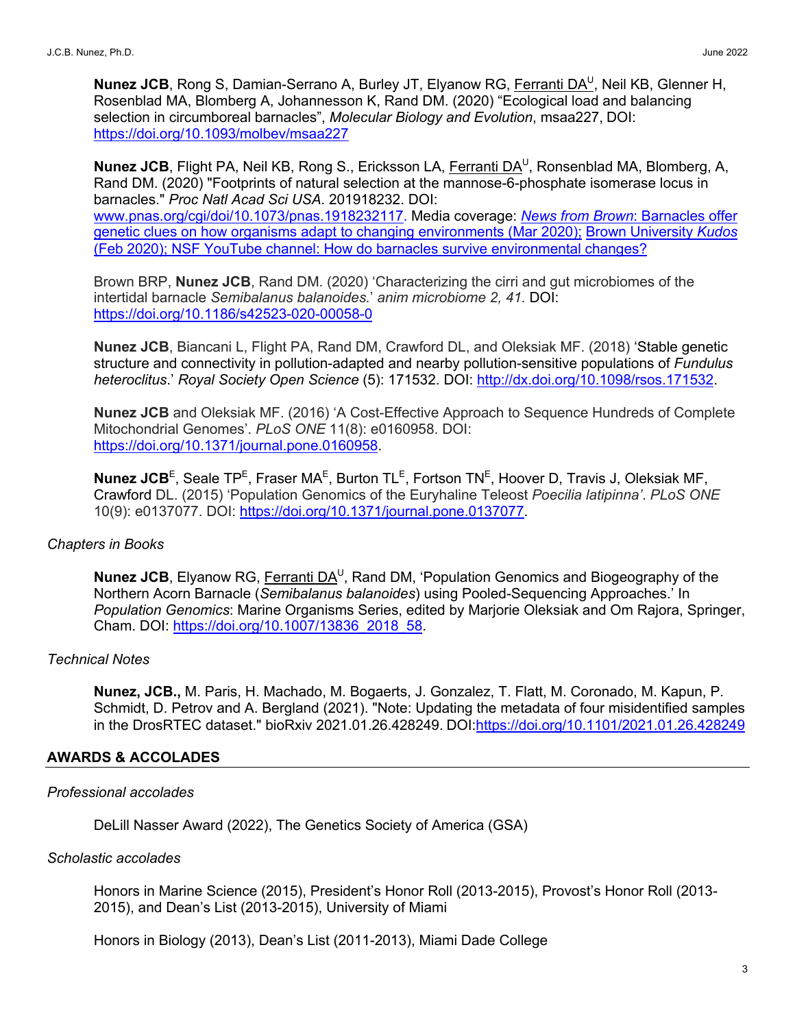**Nunez JCB**, Rong S, Damian-Serrano A, Burley JT, Elyanow RG, Ferranti DA<sup>U</sup>, Neil KB, Glenner H, Rosenblad MA, Blomberg A, Johannesson K, Rand DM. (2020) "Ecological load and balancing selection in circumboreal barnacles", *Molecular Biology and Evolution*, msaa227, DOI: https://doi.org/10.1093/molbev/msaa227

**Nunez JCB**, Flight PA, Neil KB, Rong S., Ericksson LA, Ferranti DA<sup>U</sup>, Ronsenblad MA, Blomberg, A, Rand DM. (2020) "Footprints of natural selection at the mannose-6-phosphate isomerase locus in barnacles." *Proc Natl Acad Sci USA*. 201918232. DOI: www.pnas.org/cgi/doi/10.1073/pnas.1918232117. Media coverage: *News from Brown*: Barnacles offer genetic clues on how organisms adapt to changing environments (Mar 2020); Brown University *Kudos*  (Feb 2020); NSF YouTube channel: How do barnacles survive environmental changes?

Brown BRP, **Nunez JCB**, Rand DM. (2020) 'Characterizing the cirri and gut microbiomes of the intertidal barnacle *Semibalanus balanoides.*' *anim microbiome 2, 41.* DOI: https://doi.org/10.1186/s42523-020-00058-0

**Nunez JCB**, Biancani L, Flight PA, Rand DM, Crawford DL, and Oleksiak MF. (2018) 'Stable genetic structure and connectivity in pollution-adapted and nearby pollution-sensitive populations of *Fundulus heteroclitus*.' *Royal Society Open Science* (5): 171532. DOI: http://dx.doi.org/10.1098/rsos.171532.

**Nunez JCB** and Oleksiak MF. (2016) 'A Cost-Effective Approach to Sequence Hundreds of Complete Mitochondrial Genomes'. *PLoS ONE* 11(8): e0160958. DOI: https://doi.org/10.1371/journal.pone.0160958.

**Nunez JCB**<sup>E</sup>, Seale TP<sup>E</sup>, Fraser MA<sup>E</sup>, Burton TL<sup>E</sup>, Fortson TN<sup>E</sup>, Hoover D, Travis J, Oleksiak MF, Crawford DL. (2015) 'Population Genomics of the Euryhaline Teleost *Poecilia latipinna'*. *PLoS ONE* 10(9): e0137077. DOI: https://doi.org/10.1371/journal.pone.0137077.

#### *Chapters in Books*

**Nunez JCB**, Elyanow RG, Ferranti DA<sup>U</sup>, Rand DM, 'Population Genomics and Biogeography of the Northern Acorn Barnacle (*Semibalanus balanoides*) using Pooled-Sequencing Approaches.' In *Population Genomics*: Marine Organisms Series, edited by Marjorie Oleksiak and Om Rajora, Springer, Cham. DOI: https://doi.org/10.1007/13836\_2018\_58.

#### *Technical Notes*

**Nunez, JCB.,** M. Paris, H. Machado, M. Bogaerts, J. Gonzalez, T. Flatt, M. Coronado, M. Kapun, P. Schmidt, D. Petrov and A. Bergland (2021). "Note: Updating the metadata of four misidentified samples in the DrosRTEC dataset." bioRxiv 2021.01.26.428249. DOI:https://doi.org/10.1101/2021.01.26.428249

# **AWARDS & ACCOLADES**

## *Professional accolades*

DeLill Nasser Award (2022), The Genetics Society of America (GSA)

#### *Scholastic accolades*

Honors in Marine Science (2015), President's Honor Roll (2013-2015), Provost's Honor Roll (2013- 2015), and Dean's List (2013-2015), University of Miami

Honors in Biology (2013), Dean's List (2011-2013), Miami Dade College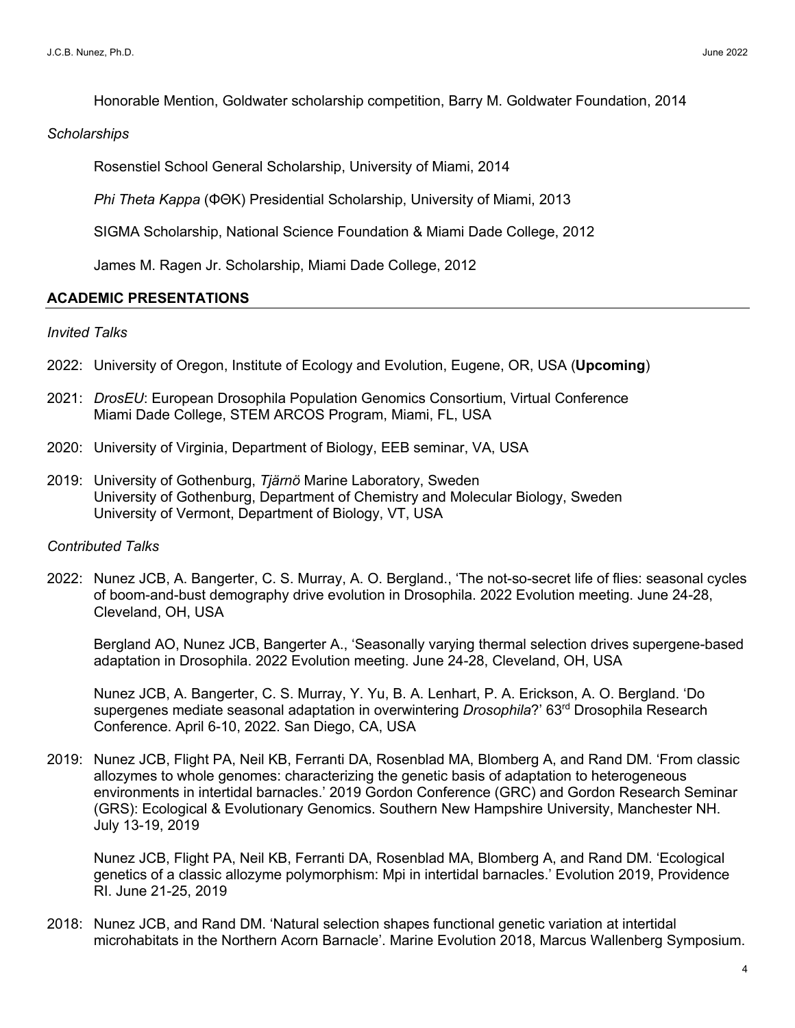Honorable Mention, Goldwater scholarship competition, Barry M. Goldwater Foundation, 2014

#### *Scholarships*

Rosenstiel School General Scholarship, University of Miami, 2014

*Phi Theta Kappa* (ΦΘΚ) Presidential Scholarship, University of Miami, 2013

SIGMA Scholarship, National Science Foundation & Miami Dade College, 2012

James M. Ragen Jr. Scholarship, Miami Dade College, 2012

## **ACADEMIC PRESENTATIONS**

#### *Invited Talks*

- 2022: University of Oregon, Institute of Ecology and Evolution, Eugene, OR, USA (**Upcoming**)
- 2021: *DrosEU*: European Drosophila Population Genomics Consortium, Virtual Conference Miami Dade College, STEM ARCOS Program, Miami, FL, USA
- 2020: University of Virginia, Department of Biology, EEB seminar, VA, USA
- 2019: University of Gothenburg, *Tjärnö* Marine Laboratory, Sweden University of Gothenburg, Department of Chemistry and Molecular Biology, Sweden University of Vermont, Department of Biology, VT, USA

#### *Contributed Talks*

2022: Nunez JCB, A. Bangerter, C. S. Murray, A. O. Bergland., 'The not-so-secret life of flies: seasonal cycles of boom-and-bust demography drive evolution in Drosophila. 2022 Evolution meeting. June 24-28, Cleveland, OH, USA

Bergland AO, Nunez JCB, Bangerter A., 'Seasonally varying thermal selection drives supergene-based adaptation in Drosophila. 2022 Evolution meeting. June 24-28, Cleveland, OH, USA

Nunez JCB, A. Bangerter, C. S. Murray, Y. Yu, B. A. Lenhart, P. A. Erickson, A. O. Bergland. 'Do supergenes mediate seasonal adaptation in overwintering *Drosophila*?' 63rd Drosophila Research Conference. April 6-10, 2022. San Diego, CA, USA

2019: Nunez JCB, Flight PA, Neil KB, Ferranti DA, Rosenblad MA, Blomberg A, and Rand DM. 'From classic allozymes to whole genomes: characterizing the genetic basis of adaptation to heterogeneous environments in intertidal barnacles.' 2019 Gordon Conference (GRC) and Gordon Research Seminar (GRS): Ecological & Evolutionary Genomics. Southern New Hampshire University, Manchester NH. July 13-19, 2019

Nunez JCB, Flight PA, Neil KB, Ferranti DA, Rosenblad MA, Blomberg A, and Rand DM. 'Ecological genetics of a classic allozyme polymorphism: Mpi in intertidal barnacles.' Evolution 2019, Providence RI. June 21-25, 2019

2018: Nunez JCB, and Rand DM. 'Natural selection shapes functional genetic variation at intertidal microhabitats in the Northern Acorn Barnacle'. Marine Evolution 2018, Marcus Wallenberg Symposium.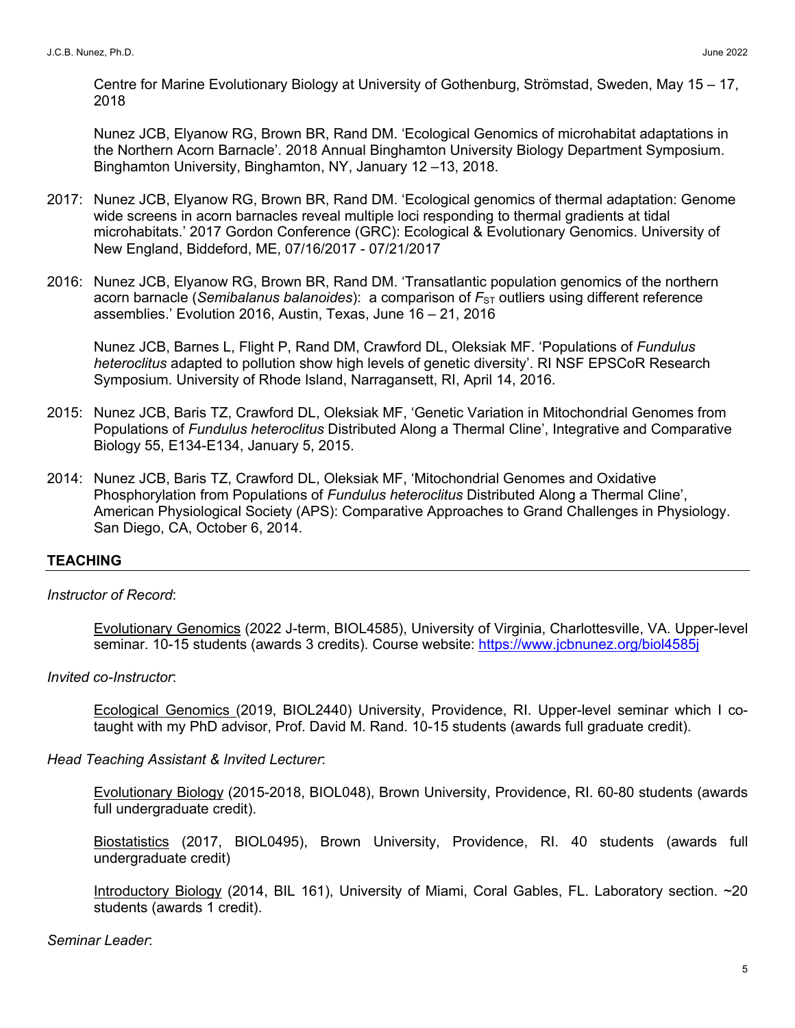Centre for Marine Evolutionary Biology at University of Gothenburg, Strömstad, Sweden, May 15 – 17, 2018

Nunez JCB, Elyanow RG, Brown BR, Rand DM. 'Ecological Genomics of microhabitat adaptations in the Northern Acorn Barnacle'. 2018 Annual Binghamton University Biology Department Symposium. Binghamton University, Binghamton, NY, January 12 –13, 2018.

- 2017: Nunez JCB, Elyanow RG, Brown BR, Rand DM. 'Ecological genomics of thermal adaptation: Genome wide screens in acorn barnacles reveal multiple loci responding to thermal gradients at tidal microhabitats.' 2017 Gordon Conference (GRC): Ecological & Evolutionary Genomics. University of New England, Biddeford, ME, 07/16/2017 - 07/21/2017
- 2016: Nunez JCB, Elyanow RG, Brown BR, Rand DM. 'Transatlantic population genomics of the northern acorn barnacle (*Semibalanus balanoides*): a comparison of  $F_{ST}$  outliers using different reference assemblies.' Evolution 2016, Austin, Texas, June 16 – 21, 2016

Nunez JCB, Barnes L, Flight P, Rand DM, Crawford DL, Oleksiak MF. 'Populations of *Fundulus heteroclitus* adapted to pollution show high levels of genetic diversity'. RI NSF EPSCoR Research Symposium. University of Rhode Island, Narragansett, RI, April 14, 2016.

- 2015: Nunez JCB, Baris TZ, Crawford DL, Oleksiak MF, 'Genetic Variation in Mitochondrial Genomes from Populations of *Fundulus heteroclitus* Distributed Along a Thermal Cline', Integrative and Comparative Biology 55, E134-E134, January 5, 2015.
- 2014: Nunez JCB, Baris TZ, Crawford DL, Oleksiak MF, 'Mitochondrial Genomes and Oxidative Phosphorylation from Populations of *Fundulus heteroclitus* Distributed Along a Thermal Cline', American Physiological Society (APS): Comparative Approaches to Grand Challenges in Physiology. San Diego, CA, October 6, 2014.

# **TEACHING**

# *Instructor of Record*:

Evolutionary Genomics (2022 J-term, BIOL4585), University of Virginia, Charlottesville, VA. Upper-level seminar. 10-15 students (awards 3 credits). Course website: https://www.jcbnunez.org/biol4585j

# *Invited co-Instructor*:

Ecological Genomics (2019, BIOL2440) University, Providence, RI. Upper-level seminar which I cotaught with my PhD advisor, Prof. David M. Rand. 10-15 students (awards full graduate credit).

# *Head Teaching Assistant & Invited Lecturer*:

Evolutionary Biology (2015-2018, BIOL048), Brown University, Providence, RI. 60-80 students (awards full undergraduate credit).

Biostatistics (2017, BIOL0495), Brown University, Providence, RI. 40 students (awards full undergraduate credit)

Introductory Biology (2014, BIL 161), University of Miami, Coral Gables, FL. Laboratory section. ~20 students (awards 1 credit).

# *Seminar Leader*: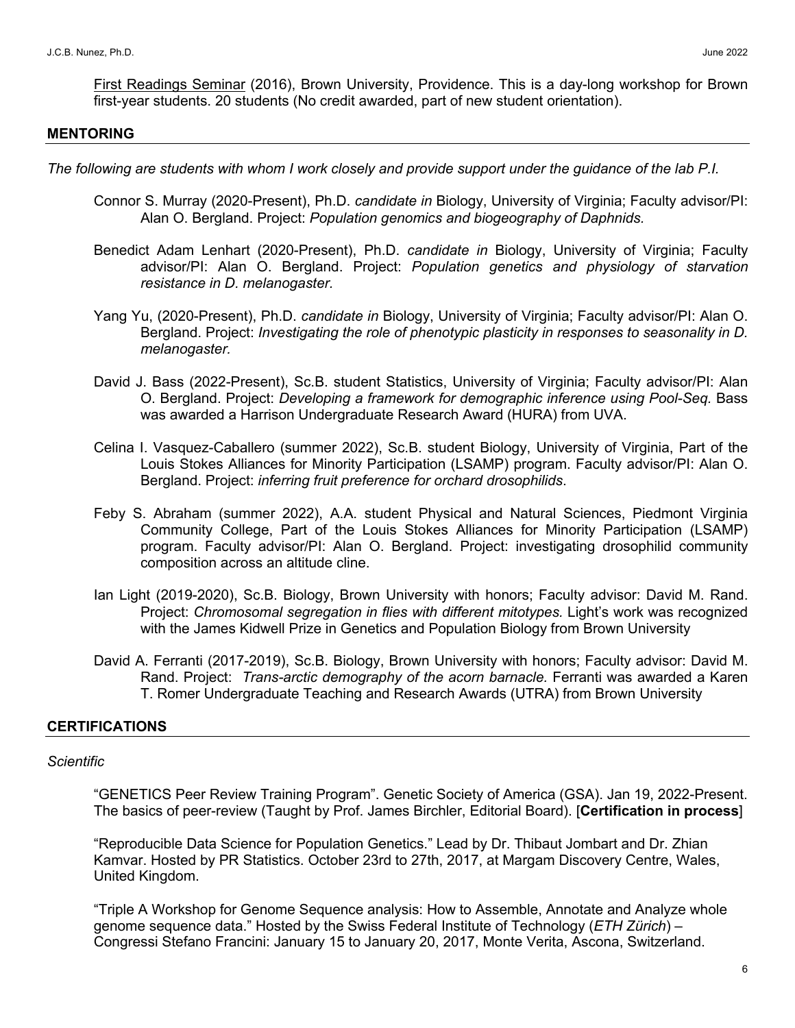First Readings Seminar (2016), Brown University, Providence. This is a day-long workshop for Brown first-year students. 20 students (No credit awarded, part of new student orientation).

#### **MENTORING**

*The following are students with whom I work closely and provide support under the guidance of the lab P.I.*

- Connor S. Murray (2020-Present), Ph.D. *candidate in* Biology, University of Virginia; Faculty advisor/PI: Alan O. Bergland. Project: *Population genomics and biogeography of Daphnids.*
- Benedict Adam Lenhart (2020-Present), Ph.D. *candidate in* Biology, University of Virginia; Faculty advisor/PI: Alan O. Bergland. Project: *Population genetics and physiology of starvation resistance in D. melanogaster.*
- Yang Yu, (2020-Present), Ph.D. *candidate in* Biology, University of Virginia; Faculty advisor/PI: Alan O. Bergland. Project: *Investigating the role of phenotypic plasticity in responses to seasonality in D. melanogaster.*
- David J. Bass (2022-Present), Sc.B. student Statistics, University of Virginia; Faculty advisor/PI: Alan O. Bergland. Project: *Developing a framework for demographic inference using Pool-Seq.* Bass was awarded a Harrison Undergraduate Research Award (HURA) from UVA.
- Celina I. Vasquez-Caballero (summer 2022), Sc.B. student Biology, University of Virginia, Part of the Louis Stokes Alliances for Minority Participation (LSAMP) program. Faculty advisor/PI: Alan O. Bergland. Project: *inferring fruit preference for orchard drosophilids*.
- Feby S. Abraham (summer 2022), A.A. student Physical and Natural Sciences, Piedmont Virginia Community College, Part of the Louis Stokes Alliances for Minority Participation (LSAMP) program. Faculty advisor/PI: Alan O. Bergland. Project: investigating drosophilid community composition across an altitude cline.
- Ian Light (2019-2020), Sc.B. Biology, Brown University with honors; Faculty advisor: David M. Rand. Project: *Chromosomal segregation in flies with different mitotypes*. Light's work was recognized with the James Kidwell Prize in Genetics and Population Biology from Brown University
- David A. Ferranti (2017-2019), Sc.B. Biology, Brown University with honors; Faculty advisor: David M. Rand. Project: *Trans-arctic demography of the acorn barnacle.* Ferranti was awarded a Karen T. Romer Undergraduate Teaching and Research Awards (UTRA) from Brown University

# **CERTIFICATIONS**

# *Scientific*

"GENETICS Peer Review Training Program". Genetic Society of America (GSA). Jan 19, 2022-Present. The basics of peer-review (Taught by Prof. James Birchler, Editorial Board). [**Certification in process**]

"Reproducible Data Science for Population Genetics." Lead by Dr. Thibaut Jombart and Dr. Zhian Kamvar. Hosted by PR Statistics. October 23rd to 27th, 2017, at Margam Discovery Centre, Wales, United Kingdom.

"Triple A Workshop for Genome Sequence analysis: How to Assemble, Annotate and Analyze whole genome sequence data." Hosted by the Swiss Federal Institute of Technology (*ETH Zürich*) – Congressi Stefano Francini: January 15 to January 20, 2017, Monte Verita, Ascona, Switzerland.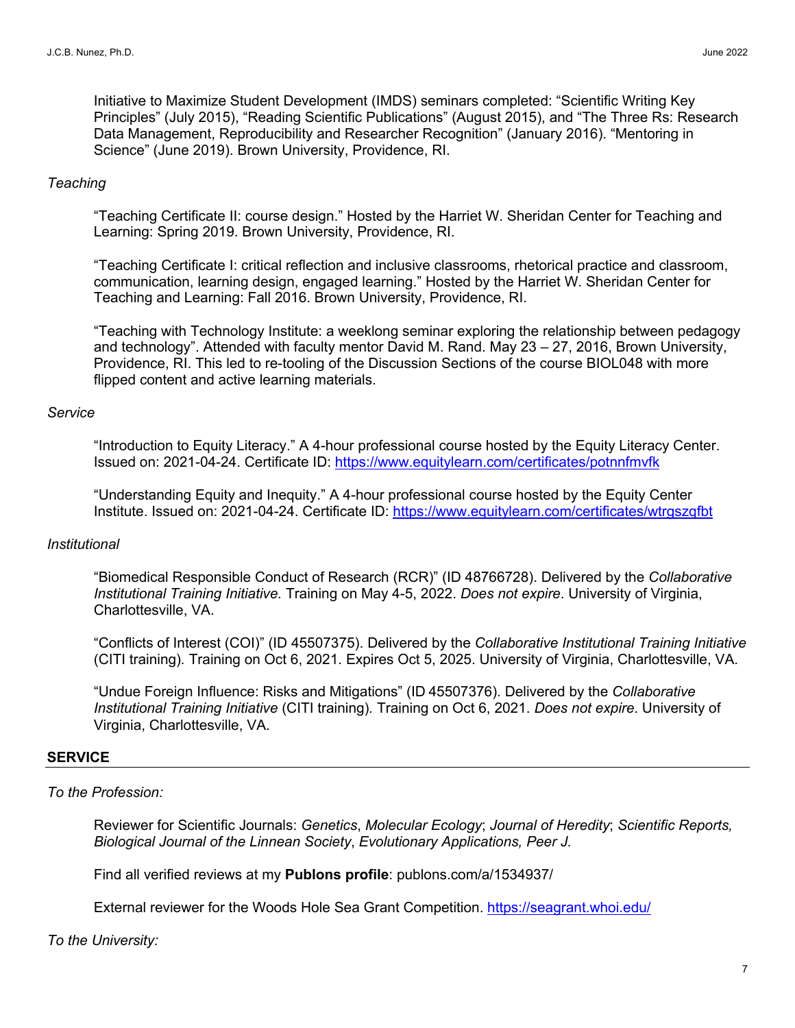Initiative to Maximize Student Development (IMDS) seminars completed: "Scientific Writing Key Principles" (July 2015), "Reading Scientific Publications" (August 2015), and "The Three Rs: Research Data Management, Reproducibility and Researcher Recognition" (January 2016). "Mentoring in Science" (June 2019). Brown University, Providence, RI.

## *Teaching*

"Teaching Certificate II: course design." Hosted by the Harriet W. Sheridan Center for Teaching and Learning: Spring 2019. Brown University, Providence, RI.

"Teaching Certificate I: critical reflection and inclusive classrooms, rhetorical practice and classroom, communication, learning design, engaged learning." Hosted by the Harriet W. Sheridan Center for Teaching and Learning: Fall 2016. Brown University, Providence, RI.

"Teaching with Technology Institute: a weeklong seminar exploring the relationship between pedagogy and technology". Attended with faculty mentor David M. Rand. May 23 – 27, 2016, Brown University, Providence, RI. This led to re-tooling of the Discussion Sections of the course BIOL048 with more flipped content and active learning materials.

## *Service*

"Introduction to Equity Literacy." A 4-hour professional course hosted by the Equity Literacy Center. Issued on: 2021-04-24. Certificate ID: https://www.equitylearn.com/certificates/potnnfmvfk

"Understanding Equity and Inequity." A 4-hour professional course hosted by the Equity Center Institute. Issued on: 2021-04-24. Certificate ID: https://www.equitylearn.com/certificates/wtrgszqfbt

# *Institutional*

"Biomedical Responsible Conduct of Research (RCR)" (ID 48766728). Delivered by the *Collaborative Institutional Training Initiative.* Training on May 4-5, 2022. *Does not expire*. University of Virginia, Charlottesville, VA.

"Conflicts of Interest (COI)" (ID 45507375). Delivered by the *Collaborative Institutional Training Initiative* (CITI training)*.* Training on Oct 6, 2021. Expires Oct 5, 2025. University of Virginia, Charlottesville, VA.

"Undue Foreign Influence: Risks and Mitigations" (ID 45507376). Delivered by the *Collaborative Institutional Training Initiative* (CITI training)*.* Training on Oct 6, 2021. *Does not expire*. University of Virginia, Charlottesville, VA.

# **SERVICE**

# *To the Profession:*

Reviewer for Scientific Journals: *Genetics*, *Molecular Ecology*; *Journal of Heredity*; *Scientific Reports, Biological Journal of the Linnean Society*, *Evolutionary Applications, Peer J.*

Find all verified reviews at my **Publons profile**: publons.com/a/1534937/

External reviewer for the Woods Hole Sea Grant Competition. https://seagrant.whoi.edu/

# *To the University:*